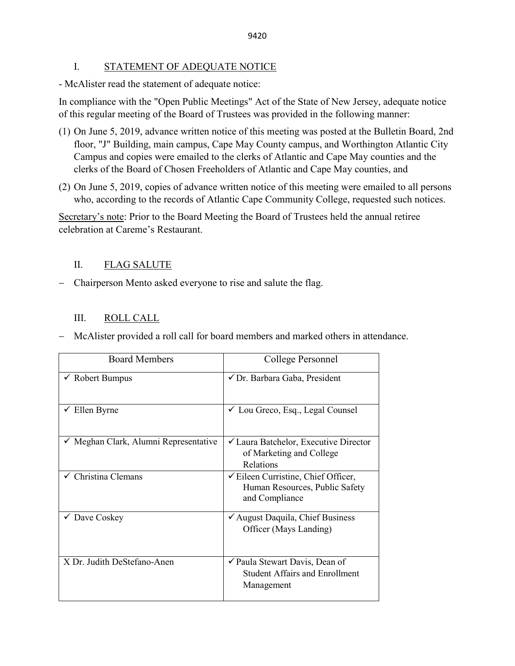## I. STATEMENT OF ADEQUATE NOTICE

- McAlister read the statement of adequate notice:

In compliance with the "Open Public Meetings" Act of the State of New Jersey, adequate notice of this regular meeting of the Board of Trustees was provided in the following manner:

- (1) On June 5, 2019, advance written notice of this meeting was posted at the Bulletin Board, 2nd floor, "J" Building, main campus, Cape May County campus, and Worthington Atlantic City Campus and copies were emailed to the clerks of Atlantic and Cape May counties and the clerks of the Board of Chosen Freeholders of Atlantic and Cape May counties, and
- (2) On June 5, 2019, copies of advance written notice of this meeting were emailed to all persons who, according to the records of Atlantic Cape Community College, requested such notices.

Secretary's note: Prior to the Board Meeting the Board of Trustees held the annual retiree celebration at Careme's Restaurant.

## II. FLAG SALUTE

− Chairperson Mento asked everyone to rise and salute the flag.

## III. ROLL CALL

− McAlister provided a roll call for board members and marked others in attendance.

| <b>Board Members</b>                | College Personnel                                                                                             |
|-------------------------------------|---------------------------------------------------------------------------------------------------------------|
| $\checkmark$ Robert Bumpus          | ✔ Dr. Barbara Gaba, President                                                                                 |
| $\checkmark$ Ellen Byrne            | $\checkmark$ Lou Greco, Esq., Legal Counsel                                                                   |
| Meghan Clark, Alumni Representative | <del></del> <del>∠</del> Laura Batchelor, Executive Director<br>of Marketing and College<br>Relations         |
| Christina Clemans                   | <del></del> <del></del> Eileen Curristine, Chief Officer,<br>Human Resources, Public Safety<br>and Compliance |
| $\checkmark$ Dave Coskey            | √ August Daquila, Chief Business<br>Officer (Mays Landing)                                                    |
| X Dr. Judith DeStefano-Anen         | ✔ Paula Stewart Davis, Dean of<br><b>Student Affairs and Enrollment</b><br>Management                         |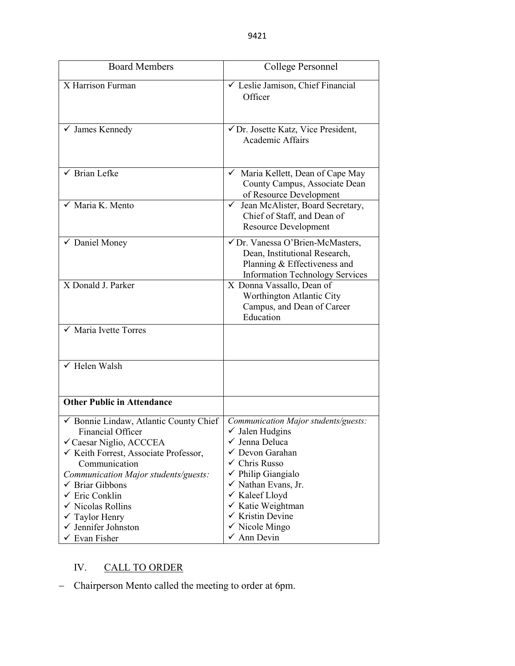| <b>Board Members</b>                                                                                                                                                                                                       | College Personnel                                                                                                                                                                            |
|----------------------------------------------------------------------------------------------------------------------------------------------------------------------------------------------------------------------------|----------------------------------------------------------------------------------------------------------------------------------------------------------------------------------------------|
| X Harrison Furman                                                                                                                                                                                                          | └ Leslie Jamison, Chief Financial<br>Officer                                                                                                                                                 |
| $\checkmark$ James Kennedy                                                                                                                                                                                                 | √ Dr. Josette Katz, Vice President,<br><b>Academic Affairs</b>                                                                                                                               |
| $\sqrt{\phantom{a}}$ Brian Lefke                                                                                                                                                                                           | √ Maria Kellett, Dean of Cape May<br>County Campus, Associate Dean<br>of Resource Development                                                                                                |
| $\sqrt{\phantom{a}}$ Maria K. Mento                                                                                                                                                                                        | √ Jean McAlister, Board Secretary,<br>Chief of Staff, and Dean of<br><b>Resource Development</b>                                                                                             |
| ✔ Daniel Money                                                                                                                                                                                                             | √ Dr. Vanessa O'Brien-McMasters,<br>Dean, Institutional Research,<br>Planning & Effectiveness and<br><b>Information Technology Services</b>                                                  |
| X Donald J. Parker                                                                                                                                                                                                         | X Donna Vassallo, Dean of<br>Worthington Atlantic City<br>Campus, and Dean of Career<br>Education                                                                                            |
| $\sqrt{\phantom{1}}$ Maria Ivette Torres                                                                                                                                                                                   |                                                                                                                                                                                              |
| $\sqrt{\text{Helen Walsh}}$                                                                                                                                                                                                |                                                                                                                                                                                              |
| <b>Other Public in Attendance</b>                                                                                                                                                                                          |                                                                                                                                                                                              |
| ✔ Bonnie Lindaw, Atlantic County Chief<br>Financial Officer<br>✓ Caesar Niglio, ACCCEA<br>✓ Keith Forrest, Associate Professor,<br>Communication                                                                           | Communication Major students/guests:<br>$\checkmark$ Jalen Hudgins<br>Jenna Deluca<br>✓ Devon Garahan<br>$\checkmark$ Chris Russo                                                            |
| Communication Major students/guests:<br>$\checkmark$ Briar Gibbons<br>$\checkmark$ Eric Conklin<br>$\checkmark$ Nicolas Rollins<br>$\checkmark$ Taylor Henry<br>$\checkmark$ Jennifer Johnston<br>$\checkmark$ Evan Fisher | $\checkmark$ Philip Giangialo<br>$\checkmark$ Nathan Evans, Jr.<br>✔ Kaleef Lloyd<br>√ Katie Weightman<br>$\checkmark$ Kristin Devine<br>$\checkmark$ Nicole Mingo<br>$\checkmark$ Ann Devin |

## IV. CALL TO ORDER

− Chairperson Mento called the meeting to order at 6pm.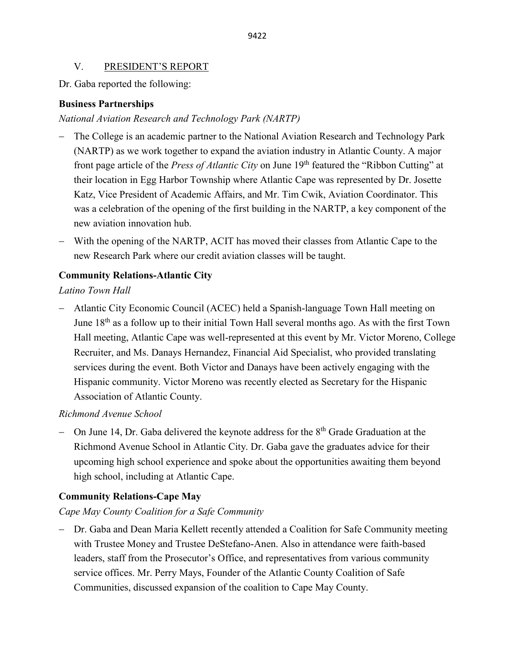## V. PRESIDENT'S REPORT

Dr. Gaba reported the following:

## **Business Partnerships**

## *National Aviation Research and Technology Park (NARTP)*

- The College is an academic partner to the National Aviation Research and Technology Park (NARTP) as we work together to expand the aviation industry in Atlantic County. A major front page article of the *Press of Atlantic City* on June 19<sup>th</sup> featured the "Ribbon Cutting" at their location in Egg Harbor Township where Atlantic Cape was represented by Dr. Josette Katz, Vice President of Academic Affairs, and Mr. Tim Cwik, Aviation Coordinator. This was a celebration of the opening of the first building in the NARTP, a key component of the new aviation innovation hub.
- − With the opening of the NARTP, ACIT has moved their classes from Atlantic Cape to the new Research Park where our credit aviation classes will be taught.

## **Community Relations-Atlantic City**

*Latino Town Hall* 

− Atlantic City Economic Council (ACEC) held a Spanish-language Town Hall meeting on June  $18<sup>th</sup>$  as a follow up to their initial Town Hall several months ago. As with the first Town Hall meeting, Atlantic Cape was well-represented at this event by Mr. Victor Moreno, College Recruiter, and Ms. Danays Hernandez, Financial Aid Specialist, who provided translating services during the event. Both Victor and Danays have been actively engaging with the Hispanic community. Victor Moreno was recently elected as Secretary for the Hispanic Association of Atlantic County.

## *Richmond Avenue School*

− On June 14, Dr. Gaba delivered the keynote address for the 8<sup>th</sup> Grade Graduation at the Richmond Avenue School in Atlantic City. Dr. Gaba gave the graduates advice for their upcoming high school experience and spoke about the opportunities awaiting them beyond high school, including at Atlantic Cape.

## **Community Relations-Cape May**

## *Cape May County Coalition for a Safe Community*

− Dr. Gaba and Dean Maria Kellett recently attended a Coalition for Safe Community meeting with Trustee Money and Trustee DeStefano-Anen. Also in attendance were faith-based leaders, staff from the Prosecutor's Office, and representatives from various community service offices. Mr. Perry Mays, Founder of the Atlantic County Coalition of Safe Communities, discussed expansion of the coalition to Cape May County.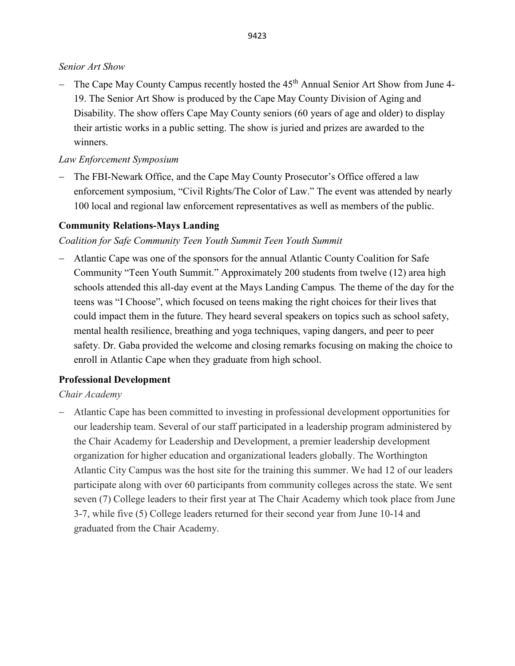## *Senior Art Show*

− The Cape May County Campus recently hosted the 45th Annual Senior Art Show from June 4- 19. The Senior Art Show is produced by the Cape May County Division of Aging and Disability. The show offers Cape May County seniors (60 years of age and older) to display their artistic works in a public setting. The show is juried and prizes are awarded to the winners.

## *Law Enforcement Symposium*

− The FBI-Newark Office, and the Cape May County Prosecutor's Office offered a law enforcement symposium, "Civil Rights/The Color of Law." The event was attended by nearly 100 local and regional law enforcement representatives as well as members of the public.

## **Community Relations-Mays Landing**

*Coalition for Safe Community Teen Youth Summit Teen Youth Summit*

− Atlantic Cape was one of the sponsors for the annual Atlantic County Coalition for Safe Community "Teen Youth Summit." Approximately 200 students from twelve (12) area high schools attended this all-day event at the Mays Landing Campus*.* The theme of the day for the teens was "I Choose", which focused on teens making the right choices for their lives that could impact them in the future. They heard several speakers on topics such as school safety, mental health resilience, breathing and yoga techniques, vaping dangers, and peer to peer safety. Dr. Gaba provided the welcome and closing remarks focusing on making the choice to enroll in Atlantic Cape when they graduate from high school.

## **Professional Development**

*Chair Academy*

− Atlantic Cape has been committed to investing in professional development opportunities for our leadership team. Several of our staff participated in a leadership program administered by the Chair Academy for Leadership and Development, a premier leadership development organization for higher education and organizational leaders globally. The Worthington Atlantic City Campus was the host site for the training this summer. We had 12 of our leaders participate along with over 60 participants from community colleges across the state. We sent seven (7) College leaders to their first year at The Chair Academy which took place from June 3-7, while five (5) College leaders returned for their second year from June 10-14 and graduated from the Chair Academy.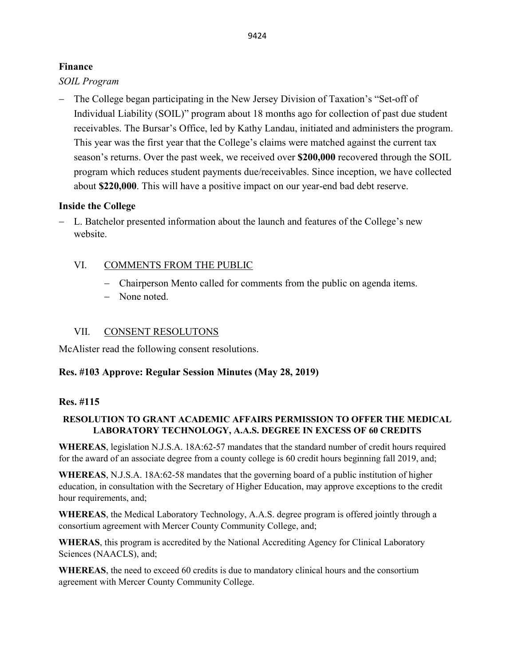## **Finance**

*SOIL Program*

The College began participating in the New Jersey Division of Taxation's "Set-off of Individual Liability (SOIL)" program about 18 months ago for collection of past due student receivables. The Bursar's Office, led by Kathy Landau, initiated and administers the program. This year was the first year that the College's claims were matched against the current tax season's returns. Over the past week, we received over **\$200,000** recovered through the SOIL program which reduces student payments due/receivables. Since inception, we have collected about **\$220,000**. This will have a positive impact on our year-end bad debt reserve.

## **Inside the College**

− L. Batchelor presented information about the launch and features of the College's new website.

## VI. COMMENTS FROM THE PUBLIC

- − Chairperson Mento called for comments from the public on agenda items.
- − None noted.

## VII. CONSENT RESOLUTONS

McAlister read the following consent resolutions.

## **Res. #103 Approve: Regular Session Minutes (May 28, 2019)**

## **Res. #115**

## **RESOLUTION TO GRANT ACADEMIC AFFAIRS PERMISSION TO OFFER THE MEDICAL LABORATORY TECHNOLOGY, A.A.S. DEGREE IN EXCESS OF 60 CREDITS**

**WHEREAS**, legislation N.J.S.A. 18A:62-57 mandates that the standard number of credit hours required for the award of an associate degree from a county college is 60 credit hours beginning fall 2019, and;

**WHEREAS**, N.J.S.A. 18A:62-58 mandates that the governing board of a public institution of higher education, in consultation with the Secretary of Higher Education, may approve exceptions to the credit hour requirements, and;

**WHEREAS**, the Medical Laboratory Technology, A.A.S. degree program is offered jointly through a consortium agreement with Mercer County Community College, and;

**WHERAS**, this program is accredited by the National Accrediting Agency for Clinical Laboratory Sciences (NAACLS), and;

**WHEREAS**, the need to exceed 60 credits is due to mandatory clinical hours and the consortium agreement with Mercer County Community College.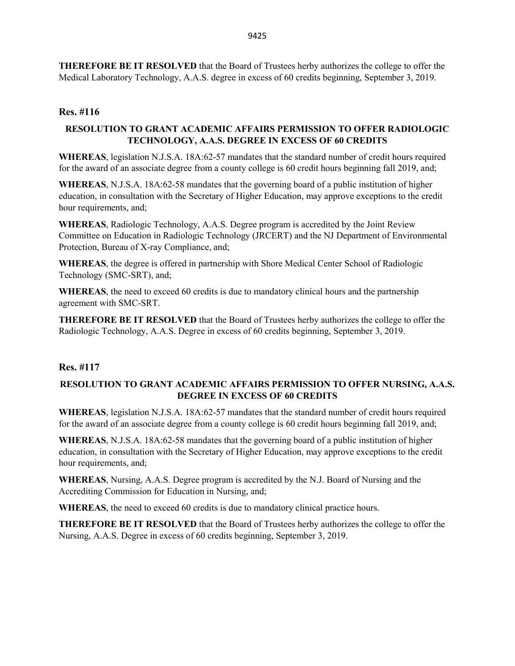**THEREFORE BE IT RESOLVED** that the Board of Trustees herby authorizes the college to offer the Medical Laboratory Technology, A.A.S. degree in excess of 60 credits beginning, September 3, 2019.

#### **Res. #116**

#### **RESOLUTION TO GRANT ACADEMIC AFFAIRS PERMISSION TO OFFER RADIOLOGIC TECHNOLOGY, A.A.S. DEGREE IN EXCESS OF 60 CREDITS**

**WHEREAS**, legislation N.J.S.A. 18A:62-57 mandates that the standard number of credit hours required for the award of an associate degree from a county college is 60 credit hours beginning fall 2019, and;

**WHEREAS**, N.J.S.A. 18A:62-58 mandates that the governing board of a public institution of higher education, in consultation with the Secretary of Higher Education, may approve exceptions to the credit hour requirements, and;

**WHEREAS**, Radiologic Technology, A.A.S. Degree program is accredited by the Joint Review Committee on Education in Radiologic Technology (JRCERT) and the NJ Department of Environmental Protection, Bureau of X-ray Compliance, and;

**WHEREAS**, the degree is offered in partnership with Shore Medical Center School of Radiologic Technology (SMC-SRT), and;

**WHEREAS**, the need to exceed 60 credits is due to mandatory clinical hours and the partnership agreement with SMC-SRT.

**THEREFORE BE IT RESOLVED** that the Board of Trustees herby authorizes the college to offer the Radiologic Technology, A.A.S. Degree in excess of 60 credits beginning, September 3, 2019.

#### **Res. #117**

## **RESOLUTION TO GRANT ACADEMIC AFFAIRS PERMISSION TO OFFER NURSING, A.A.S. DEGREE IN EXCESS OF 60 CREDITS**

**WHEREAS**, legislation N.J.S.A. 18A:62-57 mandates that the standard number of credit hours required for the award of an associate degree from a county college is 60 credit hours beginning fall 2019, and;

**WHEREAS**, N.J.S.A. 18A:62-58 mandates that the governing board of a public institution of higher education, in consultation with the Secretary of Higher Education, may approve exceptions to the credit hour requirements, and;

**WHEREAS**, Nursing, A.A.S. Degree program is accredited by the N.J. Board of Nursing and the Accrediting Commission for Education in Nursing, and;

**WHEREAS**, the need to exceed 60 credits is due to mandatory clinical practice hours.

**THEREFORE BE IT RESOLVED** that the Board of Trustees herby authorizes the college to offer the Nursing, A.A.S. Degree in excess of 60 credits beginning, September 3, 2019.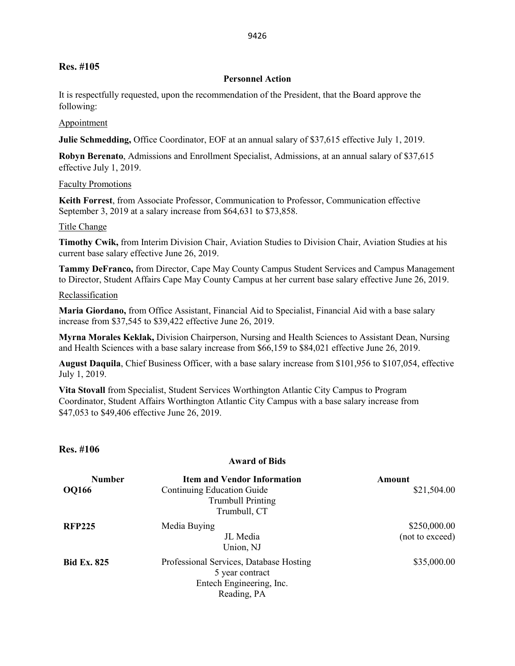## **Res. #105**

#### **Personnel Action**

It is respectfully requested, upon the recommendation of the President, that the Board approve the following:

#### Appointment

**Julie Schmedding,** Office Coordinator, EOF at an annual salary of \$37,615 effective July 1, 2019.

**Robyn Berenato**, Admissions and Enrollment Specialist, Admissions, at an annual salary of \$37,615 effective July 1, 2019.

#### Faculty Promotions

**Keith Forrest**, from Associate Professor, Communication to Professor, Communication effective September 3, 2019 at a salary increase from \$64,631 to \$73,858.

#### Title Change

**Timothy Cwik,** from Interim Division Chair, Aviation Studies to Division Chair, Aviation Studies at his current base salary effective June 26, 2019.

**Tammy DeFranco,** from Director, Cape May County Campus Student Services and Campus Management to Director, Student Affairs Cape May County Campus at her current base salary effective June 26, 2019.

#### Reclassification

**Maria Giordano,** from Office Assistant, Financial Aid to Specialist, Financial Aid with a base salary increase from \$37,545 to \$39,422 effective June 26, 2019.

**Myrna Morales Keklak,** Division Chairperson, Nursing and Health Sciences to Assistant Dean, Nursing and Health Sciences with a base salary increase from \$66,159 to \$84,021 effective June 26, 2019.

**August Daquila**, Chief Business Officer, with a base salary increase from \$101,956 to \$107,054, effective July 1, 2019.

**Vita Stovall** from Specialist, Student Services Worthington Atlantic City Campus to Program Coordinator, Student Affairs Worthington Atlantic City Campus with a base salary increase from \$47,053 to \$49,406 effective June 26, 2019.

#### **Res. #106**

#### **Award of Bids**

| <b>Number</b>      | <b>Item and Vendor Information</b>                                                                    | Amount                          |
|--------------------|-------------------------------------------------------------------------------------------------------|---------------------------------|
| <b>OQ166</b>       | Continuing Education Guide<br><b>Trumbull Printing</b><br>Trumbull, CT                                | \$21,504.00                     |
| <b>RFP225</b>      | Media Buying<br>JL Media<br>Union, NJ                                                                 | \$250,000.00<br>(not to exceed) |
| <b>Bid Ex. 825</b> | Professional Services, Database Hosting<br>5 year contract<br>Entech Engineering, Inc.<br>Reading, PA | \$35,000.00                     |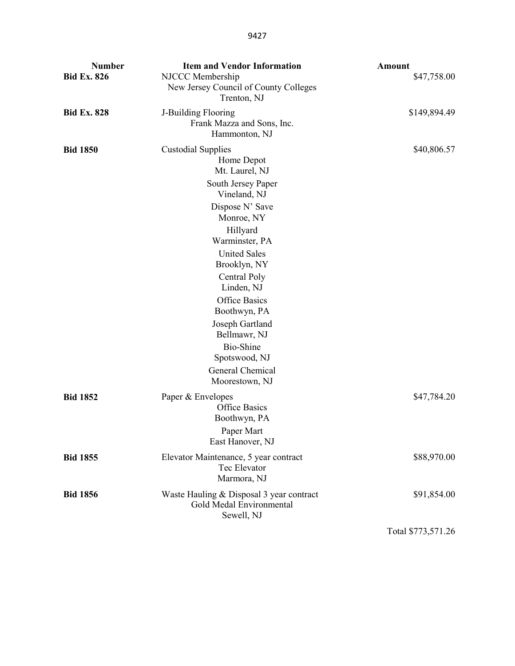| <b>Number</b><br><b>Bid Ex. 826</b> | <b>Item and Vendor Information</b><br>NJCCC Membership<br>New Jersey Council of County Colleges<br>Trenton, NJ                                                                                                                                                                                                                                                                     | <b>Amount</b><br>\$47,758.00 |
|-------------------------------------|------------------------------------------------------------------------------------------------------------------------------------------------------------------------------------------------------------------------------------------------------------------------------------------------------------------------------------------------------------------------------------|------------------------------|
| <b>Bid Ex. 828</b>                  | J-Building Flooring<br>Frank Mazza and Sons, Inc.<br>Hammonton, NJ                                                                                                                                                                                                                                                                                                                 | \$149,894.49                 |
| <b>Bid 1850</b>                     | <b>Custodial Supplies</b><br>Home Depot<br>Mt. Laurel, NJ<br>South Jersey Paper<br>Vineland, NJ<br>Dispose N' Save<br>Monroe, NY<br>Hillyard<br>Warminster, PA<br><b>United Sales</b><br>Brooklyn, NY<br>Central Poly<br>Linden, NJ<br><b>Office Basics</b><br>Boothwyn, PA<br>Joseph Gartland<br>Bellmawr, NJ<br>Bio-Shine<br>Spotswood, NJ<br>General Chemical<br>Moorestown, NJ | \$40,806.57                  |
| <b>Bid 1852</b>                     | Paper & Envelopes<br><b>Office Basics</b><br>Boothwyn, PA<br>Paper Mart<br>East Hanover, NJ                                                                                                                                                                                                                                                                                        | \$47,784.20                  |
| <b>Bid 1855</b>                     | Elevator Maintenance, 5 year contract<br>Tec Elevator<br>Marmora, NJ                                                                                                                                                                                                                                                                                                               | \$88,970.00                  |
| <b>Bid 1856</b>                     | Waste Hauling & Disposal 3 year contract<br>Gold Medal Environmental<br>Sewell, NJ                                                                                                                                                                                                                                                                                                 | \$91,854.00                  |
|                                     |                                                                                                                                                                                                                                                                                                                                                                                    |                              |

Total \$773,571.26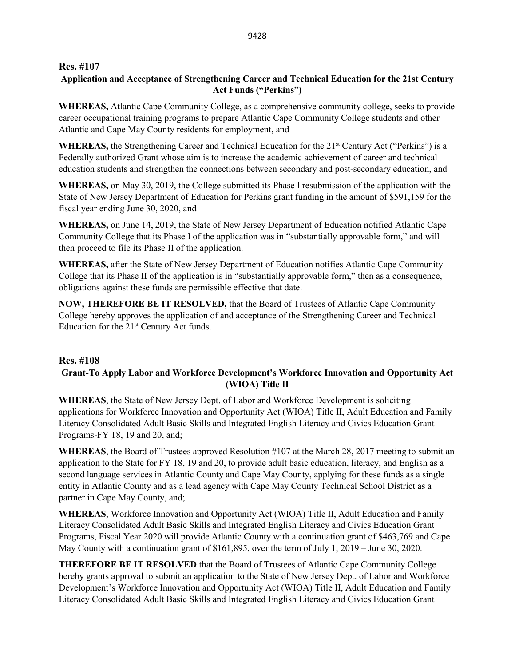#### **Res. #107**

#### **Application and Acceptance of Strengthening Career and Technical Education for the 21st Century Act Funds ("Perkins")**

**WHEREAS,** Atlantic Cape Community College, as a comprehensive community college, seeks to provide career occupational training programs to prepare Atlantic Cape Community College students and other Atlantic and Cape May County residents for employment, and

**WHEREAS,** the Strengthening Career and Technical Education for the 21<sup>st</sup> Century Act ("Perkins") is a Federally authorized Grant whose aim is to increase the academic achievement of career and technical education students and strengthen the connections between secondary and post-secondary education, and

**WHEREAS,** on May 30, 2019, the College submitted its Phase I resubmission of the application with the State of New Jersey Department of Education for Perkins grant funding in the amount of \$591,159 for the fiscal year ending June 30, 2020, and

**WHEREAS,** on June 14, 2019, the State of New Jersey Department of Education notified Atlantic Cape Community College that its Phase I of the application was in "substantially approvable form," and will then proceed to file its Phase II of the application.

**WHEREAS,** after the State of New Jersey Department of Education notifies Atlantic Cape Community College that its Phase II of the application is in "substantially approvable form," then as a consequence, obligations against these funds are permissible effective that date.

**NOW, THEREFORE BE IT RESOLVED,** that the Board of Trustees of Atlantic Cape Community College hereby approves the application of and acceptance of the Strengthening Career and Technical Education for the  $21<sup>st</sup>$  Century Act funds.

#### **Res. #108**

## **Grant-To Apply Labor and Workforce Development's Workforce Innovation and Opportunity Act (WIOA) Title II**

**WHEREAS**, the State of New Jersey Dept. of Labor and Workforce Development is soliciting applications for Workforce Innovation and Opportunity Act (WIOA) Title II, Adult Education and Family Literacy Consolidated Adult Basic Skills and Integrated English Literacy and Civics Education Grant Programs-FY 18, 19 and 20, and;

**WHEREAS**, the Board of Trustees approved Resolution #107 at the March 28, 2017 meeting to submit an application to the State for FY 18, 19 and 20, to provide adult basic education, literacy, and English as a second language services in Atlantic County and Cape May County, applying for these funds as a single entity in Atlantic County and as a lead agency with Cape May County Technical School District as a partner in Cape May County, and;

**WHEREAS**, Workforce Innovation and Opportunity Act (WIOA) Title II, Adult Education and Family Literacy Consolidated Adult Basic Skills and Integrated English Literacy and Civics Education Grant Programs, Fiscal Year 2020 will provide Atlantic County with a continuation grant of \$463,769 and Cape May County with a continuation grant of \$161,895, over the term of July 1, 2019 – June 30, 2020.

**THEREFORE BE IT RESOLVED** that the Board of Trustees of Atlantic Cape Community College hereby grants approval to submit an application to the State of New Jersey Dept. of Labor and Workforce Development's Workforce Innovation and Opportunity Act (WIOA) Title II, Adult Education and Family Literacy Consolidated Adult Basic Skills and Integrated English Literacy and Civics Education Grant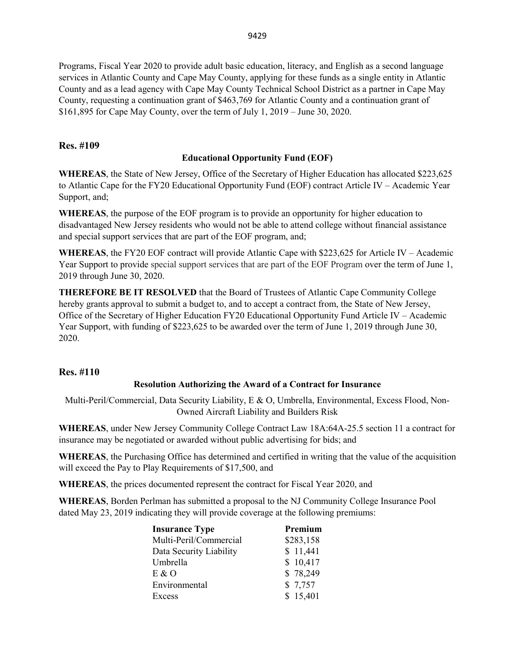Programs, Fiscal Year 2020 to provide adult basic education, literacy, and English as a second language services in Atlantic County and Cape May County, applying for these funds as a single entity in Atlantic County and as a lead agency with Cape May County Technical School District as a partner in Cape May County, requesting a continuation grant of \$463,769 for Atlantic County and a continuation grant of \$161,895 for Cape May County, over the term of July 1, 2019 – June 30, 2020.

#### **Res. #109**

## **Educational Opportunity Fund (EOF)**

**WHEREAS**, the State of New Jersey, Office of the Secretary of Higher Education has allocated \$223,625 to Atlantic Cape for the FY20 Educational Opportunity Fund (EOF) contract Article IV – Academic Year Support, and;

**WHEREAS**, the purpose of the EOF program is to provide an opportunity for higher education to disadvantaged New Jersey residents who would not be able to attend college without financial assistance and special support services that are part of the EOF program, and;

**WHEREAS**, the FY20 EOF contract will provide Atlantic Cape with \$223,625 for Article IV – Academic Year Support to provide special support services that are part of the EOF Program over the term of June 1, 2019 through June 30, 2020.

**THEREFORE BE IT RESOLVED** that the Board of Trustees of Atlantic Cape Community College hereby grants approval to submit a budget to, and to accept a contract from, the State of New Jersey, Office of the Secretary of Higher Education FY20 Educational Opportunity Fund Article IV – Academic Year Support, with funding of \$223,625 to be awarded over the term of June 1, 2019 through June 30, 2020.

#### **Res. #110**

#### **Resolution Authorizing the Award of a Contract for Insurance**

Multi-Peril/Commercial, Data Security Liability, E & O, Umbrella, Environmental, Excess Flood, Non-Owned Aircraft Liability and Builders Risk

**WHEREAS**, under New Jersey Community College Contract Law 18A:64A-25.5 section 11 a contract for insurance may be negotiated or awarded without public advertising for bids; and

**WHEREAS**, the Purchasing Office has determined and certified in writing that the value of the acquisition will exceed the Pay to Play Requirements of \$17,500, and

**WHEREAS**, the prices documented represent the contract for Fiscal Year 2020, and

**WHEREAS**, Borden Perlman has submitted a proposal to the NJ Community College Insurance Pool dated May 23, 2019 indicating they will provide coverage at the following premiums:

| <b>Insurance Type</b>   | Premium   |
|-------------------------|-----------|
| Multi-Peril/Commercial  | \$283,158 |
| Data Security Liability | \$11,441  |
| Umbrella                | \$10,417  |
| E & O                   | \$78,249  |
| Environmental           | \$7,757   |
| Excess                  | \$15,401  |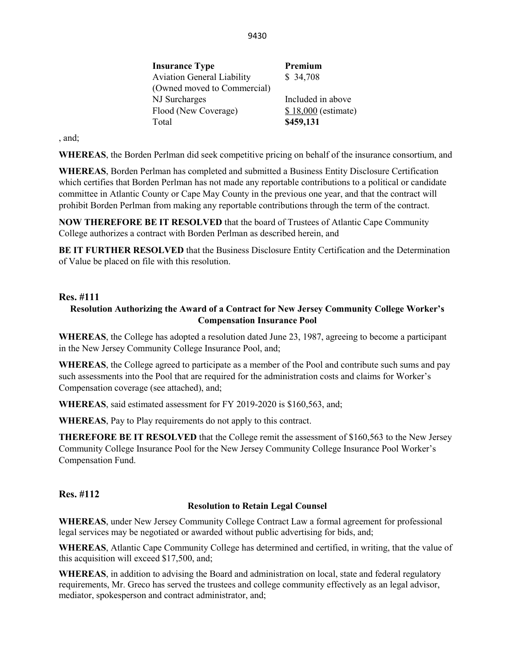| Included in above   |
|---------------------|
| \$18,000 (estimate) |
|                     |
|                     |

, and;

**WHEREAS**, the Borden Perlman did seek competitive pricing on behalf of the insurance consortium, and

**WHEREAS**, Borden Perlman has completed and submitted a Business Entity Disclosure Certification which certifies that Borden Perlman has not made any reportable contributions to a political or candidate committee in Atlantic County or Cape May County in the previous one year, and that the contract will prohibit Borden Perlman from making any reportable contributions through the term of the contract.

**NOW THEREFORE BE IT RESOLVED** that the board of Trustees of Atlantic Cape Community College authorizes a contract with Borden Perlman as described herein, and

**BE IT FURTHER RESOLVED** that the Business Disclosure Entity Certification and the Determination of Value be placed on file with this resolution.

#### **Res. #111**

#### **Resolution Authorizing the Award of a Contract for New Jersey Community College Worker's Compensation Insurance Pool**

**WHEREAS**, the College has adopted a resolution dated June 23, 1987, agreeing to become a participant in the New Jersey Community College Insurance Pool, and;

**WHEREAS**, the College agreed to participate as a member of the Pool and contribute such sums and pay such assessments into the Pool that are required for the administration costs and claims for Worker's Compensation coverage (see attached), and;

**WHEREAS**, said estimated assessment for FY 2019-2020 is \$160,563, and;

**WHEREAS**, Pay to Play requirements do not apply to this contract.

**THEREFORE BE IT RESOLVED** that the College remit the assessment of \$160,563 to the New Jersey Community College Insurance Pool for the New Jersey Community College Insurance Pool Worker's Compensation Fund.

#### **Res. #112**

#### **Resolution to Retain Legal Counsel**

**WHEREAS**, under New Jersey Community College Contract Law a formal agreement for professional legal services may be negotiated or awarded without public advertising for bids, and;

**WHEREAS**, Atlantic Cape Community College has determined and certified, in writing, that the value of this acquisition will exceed \$17,500, and;

**WHEREAS**, in addition to advising the Board and administration on local, state and federal regulatory requirements, Mr. Greco has served the trustees and college community effectively as an legal advisor, mediator, spokesperson and contract administrator, and;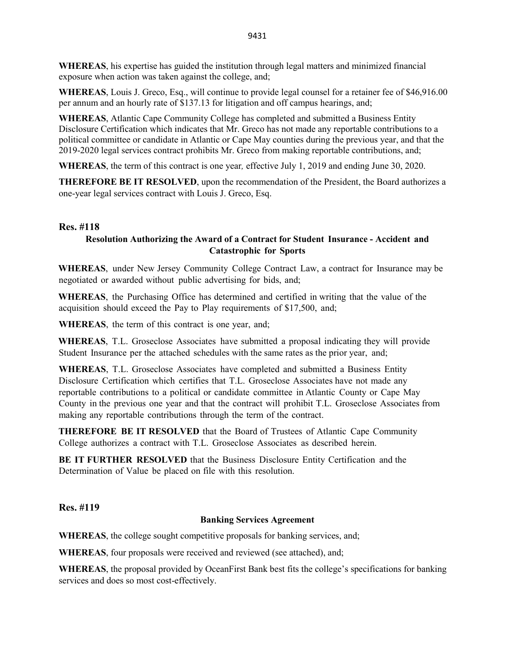**WHEREAS**, his expertise has guided the institution through legal matters and minimized financial exposure when action was taken against the college, and;

**WHEREAS**, Louis J. Greco, Esq., will continue to provide legal counsel for a retainer fee of \$46,916.00 per annum and an hourly rate of \$137.13 for litigation and off campus hearings, and;

**WHEREAS**, Atlantic Cape Community College has completed and submitted a Business Entity Disclosure Certification which indicates that Mr. Greco has not made any reportable contributions to a political committee or candidate in Atlantic or Cape May counties during the previous year, and that the 2019-2020 legal services contract prohibits Mr. Greco from making reportable contributions, and;

**WHEREAS**, the term of this contract is one year*,* effective July 1, 2019 and ending June 30, 2020.

**THEREFORE BE IT RESOLVED**, upon the recommendation of the President, the Board authorizes a one-year legal services contract with Louis J. Greco, Esq.

#### **Res. #118**

#### **Resolution Authorizing the Award of a Contract for Student Insurance - Accident and Catastrophic for Sports**

**WHEREAS**, under New Jersey Community College Contract Law, a contract for Insurance may be negotiated or awarded without public advertising for bids, and;

**WHEREAS**, the Purchasing Office has determined and certified in writing that the value of the acquisition should exceed the Pay to Play requirements of \$17,500, and;

**WHEREAS**, the term of this contract is one year, and;

**WHEREAS**, T.L. Groseclose Associates have submitted a proposal indicating they will provide Student Insurance per the attached schedules with the same rates as the prior year, and;

**WHEREAS**, T.L. Groseclose Associates have completed and submitted a Business Entity Disclosure Certification which certifies that T.L. Groseclose Associates have not made any reportable contributions to a political or candidate committee in Atlantic County or Cape May County in the previous one year and that the contract will prohibit T.L. Groseclose Associates from making any reportable contributions through the term of the contract.

**THEREFORE BE IT RESOLVED** that the Board of Trustees of Atlantic Cape Community College authorizes a contract with T.L. Groseclose Associates as described herein.

**BE IT FURTHER RESOLVED** that the Business Disclosure Entity Certification and the Determination of Value be placed on file with this resolution.

**Res. #119**

#### **Banking Services Agreement**

**WHEREAS**, the college sought competitive proposals for banking services, and;

**WHEREAS**, four proposals were received and reviewed (see attached), and;

**WHEREAS**, the proposal provided by OceanFirst Bank best fits the college's specifications for banking services and does so most cost-effectively.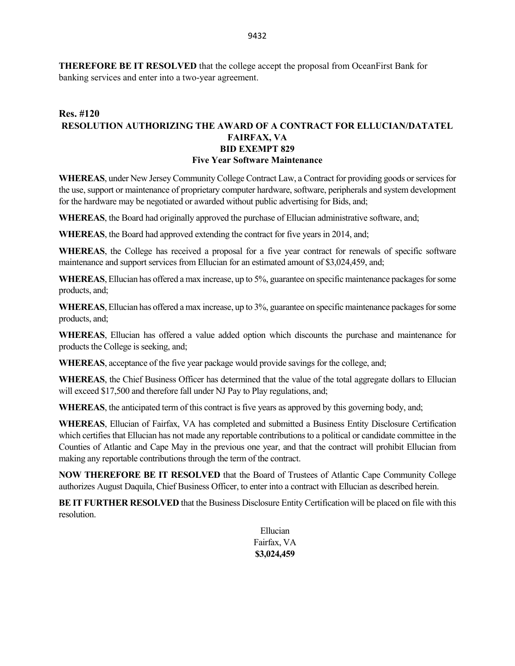**THEREFORE BE IT RESOLVED** that the college accept the proposal from OceanFirst Bank for banking services and enter into a two-year agreement.

#### **Res. #120 RESOLUTION AUTHORIZING THE AWARD OF A CONTRACT FOR ELLUCIAN/DATATEL FAIRFAX, VA BID EXEMPT 829 Five Year Software Maintenance**

**WHEREAS**, under New Jersey Community College Contract Law, a Contract for providing goods or services for the use, support or maintenance of proprietary computer hardware, software, peripherals and system development for the hardware may be negotiated or awarded without public advertising for Bids, and;

**WHEREAS**, the Board had originally approved the purchase of Ellucian administrative software, and;

**WHEREAS**, the Board had approved extending the contract for five years in 2014, and;

**WHEREAS**, the College has received a proposal for a five year contract for renewals of specific software maintenance and support services from Ellucian for an estimated amount of \$3,024,459, and;

**WHEREAS**, Ellucian has offered a max increase, up to 5%, guarantee on specific maintenance packages for some products, and;

**WHEREAS**, Ellucian has offered a max increase, up to 3%, guarantee on specific maintenance packages for some products, and;

**WHEREAS**, Ellucian has offered a value added option which discounts the purchase and maintenance for products the College is seeking, and;

**WHEREAS**, acceptance of the five year package would provide savings for the college, and;

**WHEREAS**, the Chief Business Officer has determined that the value of the total aggregate dollars to Ellucian will exceed \$17,500 and therefore fall under NJ Pay to Play regulations, and;

**WHEREAS**, the anticipated term of this contract is five years as approved by this governing body, and;

**WHEREAS**, Ellucian of Fairfax, VA has completed and submitted a Business Entity Disclosure Certification which certifies that Ellucian has not made any reportable contributions to a political or candidate committee in the Counties of Atlantic and Cape May in the previous one year, and that the contract will prohibit Ellucian from making any reportable contributions through the term of the contract.

**NOW THEREFORE BE IT RESOLVED** that the Board of Trustees of Atlantic Cape Community College authorizes August Daquila, Chief Business Officer, to enter into a contract with Ellucian as described herein.

**BE IT FURTHER RESOLVED** that the Business Disclosure Entity Certification will be placed on file with this resolution.

Ellucian Fairfax, VA **\$3,024,459**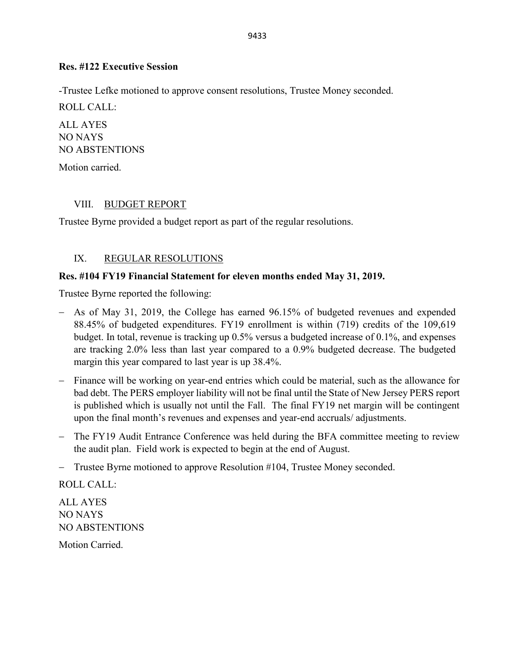## **Res. #122 Executive Session**

-Trustee Lefke motioned to approve consent resolutions, Trustee Money seconded.

ROLL CALL:

ALL AYES NO NAYS NO ABSTENTIONS

Motion carried.

## VIII. BUDGET REPORT

Trustee Byrne provided a budget report as part of the regular resolutions.

## IX. REGULAR RESOLUTIONS

## **Res. #104 FY19 Financial Statement for eleven months ended May 31, 2019.**

Trustee Byrne reported the following:

- − As of May 31, 2019, the College has earned 96.15% of budgeted revenues and expended 88.45% of budgeted expenditures. FY19 enrollment is within (719) credits of the 109,619 budget. In total, revenue is tracking up 0.5% versus a budgeted increase of 0.1%, and expenses are tracking 2.0% less than last year compared to a 0.9% budgeted decrease. The budgeted margin this year compared to last year is up 38.4%.
- − Finance will be working on year-end entries which could be material, such as the allowance for bad debt. The PERS employer liability will not be final until the State of New Jersey PERS report is published which is usually not until the Fall. The final FY19 net margin will be contingent upon the final month's revenues and expenses and year-end accruals/ adjustments.
- − The FY19 Audit Entrance Conference was held during the BFA committee meeting to review the audit plan. Field work is expected to begin at the end of August.
- − Trustee Byrne motioned to approve Resolution #104, Trustee Money seconded.

ROLL CALL: ALL AYES NO NAYS NO ABSTENTIONS

Motion Carried.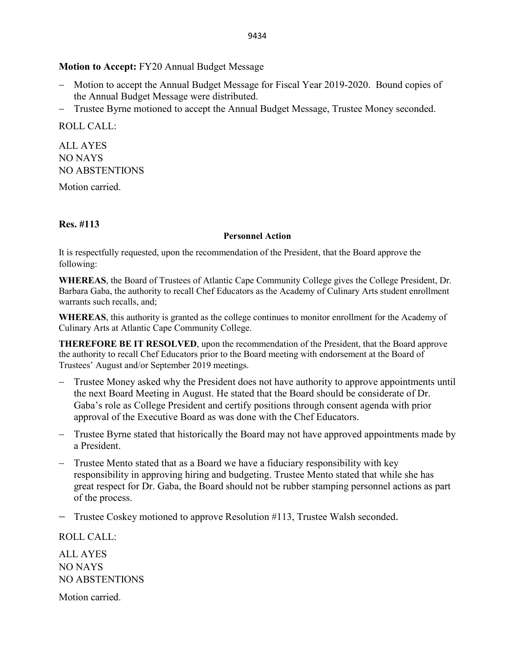#### **Motion to Accept:** FY20 Annual Budget Message

- − Motion to accept the Annual Budget Message for Fiscal Year 2019-2020. Bound copies of the Annual Budget Message were distributed.
- − Trustee Byrne motioned to accept the Annual Budget Message, Trustee Money seconded.

ROLL CALL:

ALL AYES NO NAYS NO ABSTENTIONS

Motion carried.

## **Res. #113**

#### **Personnel Action**

It is respectfully requested, upon the recommendation of the President, that the Board approve the following:

**WHEREAS**, the Board of Trustees of Atlantic Cape Community College gives the College President, Dr. Barbara Gaba, the authority to recall Chef Educators as the Academy of Culinary Arts student enrollment warrants such recalls, and;

**WHEREAS**, this authority is granted as the college continues to monitor enrollment for the Academy of Culinary Arts at Atlantic Cape Community College.

**THEREFORE BE IT RESOLVED**, upon the recommendation of the President, that the Board approve the authority to recall Chef Educators prior to the Board meeting with endorsement at the Board of Trustees' August and/or September 2019 meetings.

- − Trustee Money asked why the President does not have authority to approve appointments until the next Board Meeting in August. He stated that the Board should be considerate of Dr. Gaba's role as College President and certify positions through consent agenda with prior approval of the Executive Board as was done with the Chef Educators.
- Trustee Byrne stated that historically the Board may not have approved appointments made by a President.
- − Trustee Mento stated that as a Board we have a fiduciary responsibility with key responsibility in approving hiring and budgeting. Trustee Mento stated that while she has great respect for Dr. Gaba, the Board should not be rubber stamping personnel actions as part of the process.

− Trustee Coskey motioned to approve Resolution #113, Trustee Walsh seconded.

ROLL CALL:

ALL AYES NO NAYS NO ABSTENTIONS

Motion carried.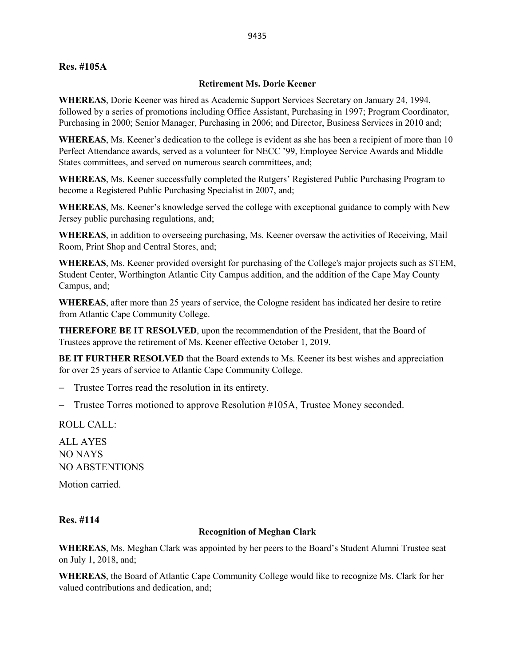#### **Res. #105A**

#### **Retirement Ms. Dorie Keener**

**WHEREAS**, Dorie Keener was hired as Academic Support Services Secretary on January 24, 1994, followed by a series of promotions including Office Assistant, Purchasing in 1997; Program Coordinator, Purchasing in 2000; Senior Manager, Purchasing in 2006; and Director, Business Services in 2010 and;

**WHEREAS**, Ms. Keener's dedication to the college is evident as she has been a recipient of more than 10 Perfect Attendance awards, served as a volunteer for NECC '99, Employee Service Awards and Middle States committees, and served on numerous search committees, and;

**WHEREAS**, Ms. Keener successfully completed the Rutgers' Registered Public Purchasing Program to become a Registered Public Purchasing Specialist in 2007, and;

**WHEREAS**, Ms. Keener's knowledge served the college with exceptional guidance to comply with New Jersey public purchasing regulations, and;

**WHEREAS**, in addition to overseeing purchasing, Ms. Keener oversaw the activities of Receiving, Mail Room, Print Shop and Central Stores, and;

**WHEREAS**, Ms. Keener provided oversight for purchasing of the College's major projects such as STEM, Student Center, Worthington Atlantic City Campus addition, and the addition of the Cape May County Campus, and;

**WHEREAS**, after more than 25 years of service, the Cologne resident has indicated her desire to retire from Atlantic Cape Community College.

**THEREFORE BE IT RESOLVED**, upon the recommendation of the President, that the Board of Trustees approve the retirement of Ms. Keener effective October 1, 2019.

**BE IT FURTHER RESOLVED** that the Board extends to Ms. Keener its best wishes and appreciation for over 25 years of service to Atlantic Cape Community College.

− Trustee Torres read the resolution in its entirety.

− Trustee Torres motioned to approve Resolution #105A, Trustee Money seconded.

ROLL CALL:

ALL AYES NO NAYS NO ABSTENTIONS Motion carried.

#### **Res. #114**

#### **Recognition of Meghan Clark**

**WHEREAS**, Ms. Meghan Clark was appointed by her peers to the Board's Student Alumni Trustee seat on July 1, 2018, and;

**WHEREAS**, the Board of Atlantic Cape Community College would like to recognize Ms. Clark for her valued contributions and dedication, and;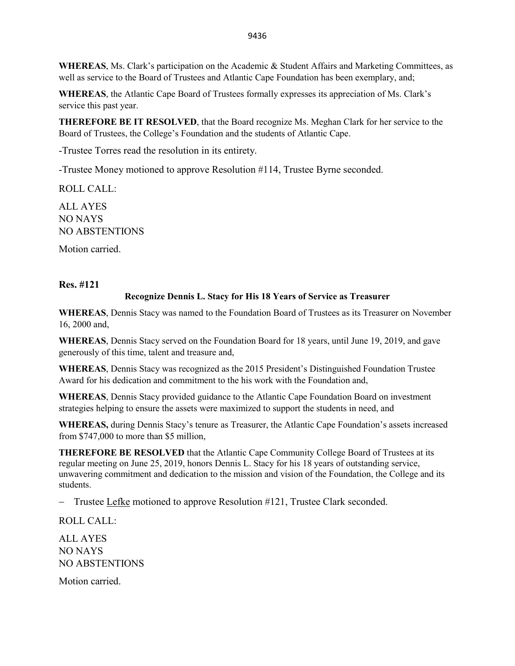**WHEREAS**, Ms. Clark's participation on the Academic & Student Affairs and Marketing Committees, as well as service to the Board of Trustees and Atlantic Cape Foundation has been exemplary, and;

**WHEREAS**, the Atlantic Cape Board of Trustees formally expresses its appreciation of Ms. Clark's service this past year.

**THEREFORE BE IT RESOLVED**, that the Board recognize Ms. Meghan Clark for her service to the Board of Trustees, the College's Foundation and the students of Atlantic Cape.

-Trustee Torres read the resolution in its entirety.

-Trustee Money motioned to approve Resolution #114, Trustee Byrne seconded.

ROLL CALL:

ALL AYES NO NAYS NO ABSTENTIONS

Motion carried.

#### **Res. #121**

#### **Recognize Dennis L. Stacy for His 18 Years of Service as Treasurer**

**WHEREAS**, Dennis Stacy was named to the Foundation Board of Trustees as its Treasurer on November 16, 2000 and,

**WHEREAS**, Dennis Stacy served on the Foundation Board for 18 years, until June 19, 2019, and gave generously of this time, talent and treasure and,

**WHEREAS**, Dennis Stacy was recognized as the 2015 President's Distinguished Foundation Trustee Award for his dedication and commitment to the his work with the Foundation and,

**WHEREAS**, Dennis Stacy provided guidance to the Atlantic Cape Foundation Board on investment strategies helping to ensure the assets were maximized to support the students in need, and

**WHEREAS,** during Dennis Stacy's tenure as Treasurer, the Atlantic Cape Foundation's assets increased from \$747,000 to more than \$5 million,

**THEREFORE BE RESOLVED** that the Atlantic Cape Community College Board of Trustees at its regular meeting on June 25, 2019, honors Dennis L. Stacy for his 18 years of outstanding service, unwavering commitment and dedication to the mission and vision of the Foundation, the College and its students.

− Trustee Lefke motioned to approve Resolution #121, Trustee Clark seconded.

ROLL CALL:

ALL AYES NO NAYS NO ABSTENTIONS

Motion carried.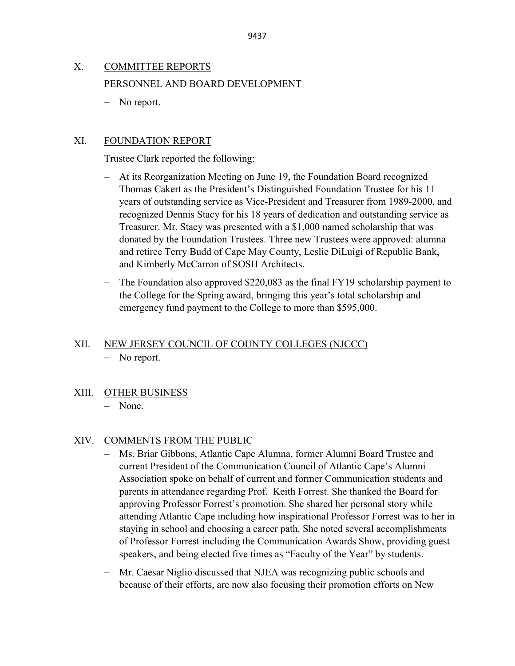## X. COMMITTEE REPORTS PERSONNEL AND BOARD DEVELOPMENT

− No report.

## XI. FOUNDATION REPORT

Trustee Clark reported the following:

- At its Reorganization Meeting on June 19, the Foundation Board recognized Thomas Cakert as the President's Distinguished Foundation Trustee for his 11 years of outstanding service as Vice-President and Treasurer from 1989-2000, and recognized Dennis Stacy for his 18 years of dedication and outstanding service as Treasurer. Mr. Stacy was presented with a \$1,000 named scholarship that was donated by the Foundation Trustees. Three new Trustees were approved: alumna and retiree Terry Budd of Cape May County, Leslie DiLuigi of Republic Bank, and Kimberly McCarron of SOSH Architects.
- − The Foundation also approved \$220,083 as the final FY19 scholarship payment to the College for the Spring award, bringing this year's total scholarship and emergency fund payment to the College to more than \$595,000.

# XII. NEW JERSEY COUNCIL OF COUNTY COLLEGES (NJCCC)

- − No report.
- XIII. OTHER BUSINESS

## − None.

## XIV. COMMENTS FROM THE PUBLIC

- − Ms. Briar Gibbons, Atlantic Cape Alumna, former Alumni Board Trustee and current President of the Communication Council of Atlantic Cape's Alumni Association spoke on behalf of current and former Communication students and parents in attendance regarding Prof. Keith Forrest. She thanked the Board for approving Professor Forrest's promotion. She shared her personal story while attending Atlantic Cape including how inspirational Professor Forrest was to her in staying in school and choosing a career path. She noted several accomplishments of Professor Forrest including the Communication Awards Show, providing guest speakers, and being elected five times as "Faculty of the Year" by students.
- − Mr. Caesar Niglio discussed that NJEA was recognizing public schools and because of their efforts, are now also focusing their promotion efforts on New